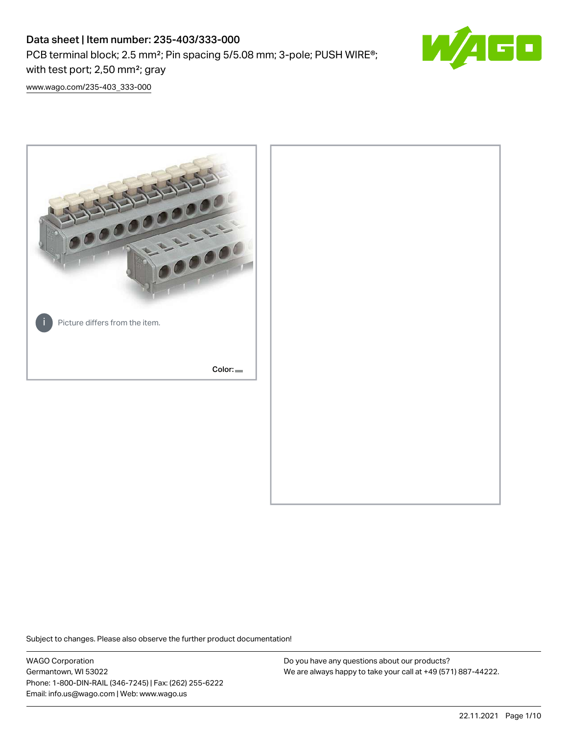PCB terminal block; 2.5 mm²; Pin spacing 5/5.08 mm; 3-pole; PUSH WIRE®; with test port; 2,50 mm²; gray



[www.wago.com/235-403\\_333-000](http://www.wago.com/235-403_333-000)



Subject to changes. Please also observe the further product documentation!

WAGO Corporation Germantown, WI 53022 Phone: 1-800-DIN-RAIL (346-7245) | Fax: (262) 255-6222 Email: info.us@wago.com | Web: www.wago.us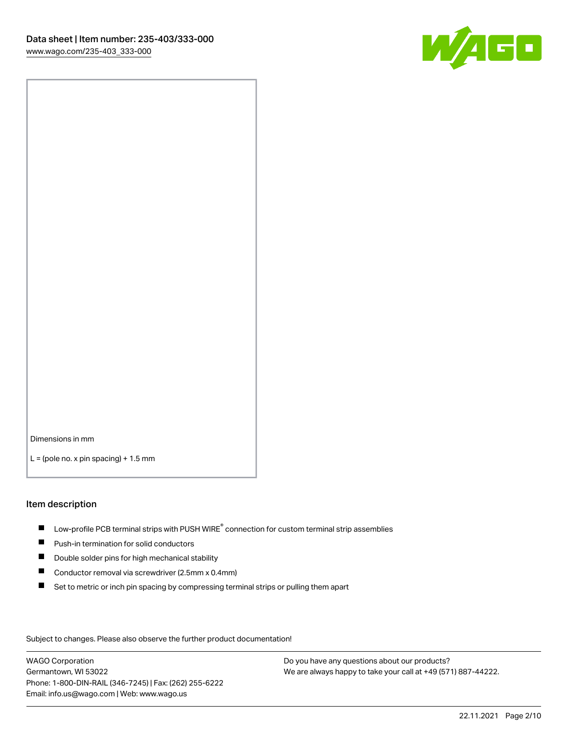

Dimensions in mm

 $L =$  (pole no. x pin spacing) + 1.5 mm

#### Item description

- $\blacksquare$  Low-profile PCB terminal strips with PUSH WIRE<sup>®</sup> connection for custom terminal strip assemblies
- **Push-in termination for solid conductors**
- $\blacksquare$ Double solder pins for high mechanical stability
- $\blacksquare$ Conductor removal via screwdriver (2.5mm x 0.4mm)
- $\blacksquare$ Set to metric or inch pin spacing by compressing terminal strips or pulling them apart

Subject to changes. Please also observe the further product documentation!

WAGO Corporation Germantown, WI 53022 Phone: 1-800-DIN-RAIL (346-7245) | Fax: (262) 255-6222 Email: info.us@wago.com | Web: www.wago.us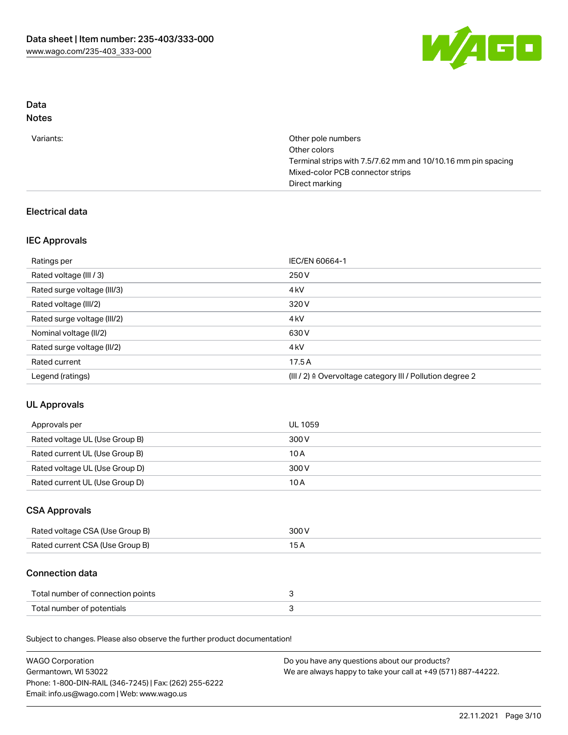

# Data

# Notes

| Variants: | Other pole numbers                                           |
|-----------|--------------------------------------------------------------|
|           | Other colors                                                 |
|           | Terminal strips with 7.5/7.62 mm and 10/10.16 mm pin spacing |
|           | Mixed-color PCB connector strips                             |
|           | Direct marking                                               |

## Electrical data

## IEC Approvals

| Ratings per                 | IEC/EN 60664-1                                            |
|-----------------------------|-----------------------------------------------------------|
| Rated voltage (III / 3)     | 250 V                                                     |
| Rated surge voltage (III/3) | 4 <sub>k</sub> V                                          |
| Rated voltage (III/2)       | 320 V                                                     |
| Rated surge voltage (III/2) | 4 <sub>k</sub> V                                          |
| Nominal voltage (II/2)      | 630 V                                                     |
| Rated surge voltage (II/2)  | 4 <sub>k</sub> V                                          |
| Rated current               | 17.5A                                                     |
| Legend (ratings)            | (III / 2) ≙ Overvoltage category III / Pollution degree 2 |

# UL Approvals

| Approvals per                  | UL 1059 |
|--------------------------------|---------|
| Rated voltage UL (Use Group B) | 300 V   |
| Rated current UL (Use Group B) | 10 A    |
| Rated voltage UL (Use Group D) | 300 V   |
| Rated current UL (Use Group D) | 10 A    |

## CSA Approvals

| Rated voltage CSA (Use Group B) | 300 V |
|---------------------------------|-------|
| Rated current CSA (Use Group B) |       |

## Connection data

| Total number of connection points |  |
|-----------------------------------|--|
| Total number of potentials        |  |

Subject to changes. Please also observe the further product documentation!

| <b>WAGO Corporation</b>                                | Do you have any questions about our products?                 |
|--------------------------------------------------------|---------------------------------------------------------------|
| Germantown, WI 53022                                   | We are always happy to take your call at +49 (571) 887-44222. |
| Phone: 1-800-DIN-RAIL (346-7245)   Fax: (262) 255-6222 |                                                               |
| Email: info.us@wago.com   Web: www.wago.us             |                                                               |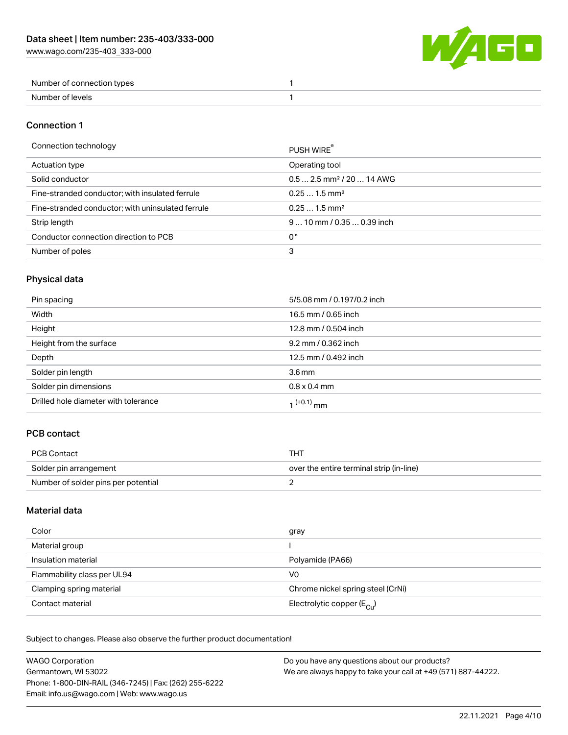[www.wago.com/235-403\\_333-000](http://www.wago.com/235-403_333-000)



| Number of connection types |  |
|----------------------------|--|
| . Numher of v<br>عاصرها ·  |  |

#### Connection 1

#### Connection technology **PUSH WIRE®**

|                                                   | <b>PUSH WIRE</b>                       |
|---------------------------------------------------|----------------------------------------|
| Actuation type                                    | Operating tool                         |
| Solid conductor                                   | $0.5$ 2.5 mm <sup>2</sup> / 20  14 AWG |
| Fine-stranded conductor; with insulated ferrule   | $0.251.5$ mm <sup>2</sup>              |
| Fine-stranded conductor; with uninsulated ferrule | $0.251.5$ mm <sup>2</sup>              |
| Strip length                                      | $910$ mm / 0.35  0.39 inch             |
| Conductor connection direction to PCB             | 0°                                     |
| Number of poles                                   | 3                                      |
|                                                   |                                        |

# Physical data

| Pin spacing                          | 5/5.08 mm / 0.197/0.2 inch |
|--------------------------------------|----------------------------|
| Width                                | 16.5 mm / 0.65 inch        |
| Height                               | 12.8 mm / 0.504 inch       |
| Height from the surface              | 9.2 mm / 0.362 inch        |
| Depth                                | 12.5 mm / 0.492 inch       |
| Solder pin length                    | 3.6 <sub>mm</sub>          |
| Solder pin dimensions                | $0.8 \times 0.4$ mm        |
| Drilled hole diameter with tolerance | 1 <sup>(+0.1)</sup> mm     |

## PCB contact

| PCB Contact                         | тнт                                      |
|-------------------------------------|------------------------------------------|
| Solder pin arrangement              | over the entire terminal strip (in-line) |
| Number of solder pins per potential |                                          |

### Material data

| Color                       | gray                                    |
|-----------------------------|-----------------------------------------|
| Material group              |                                         |
| Insulation material         | Polyamide (PA66)                        |
| Flammability class per UL94 | V0                                      |
| Clamping spring material    | Chrome nickel spring steel (CrNi)       |
| Contact material            | Electrolytic copper ( $E_{\text{Cl}}$ ) |

Subject to changes. Please also observe the further product documentation!

| <b>WAGO Corporation</b>                                | Do you have any questions about our products?                 |
|--------------------------------------------------------|---------------------------------------------------------------|
| Germantown, WI 53022                                   | We are always happy to take your call at +49 (571) 887-44222. |
| Phone: 1-800-DIN-RAIL (346-7245)   Fax: (262) 255-6222 |                                                               |
| Email: info.us@wago.com   Web: www.wago.us             |                                                               |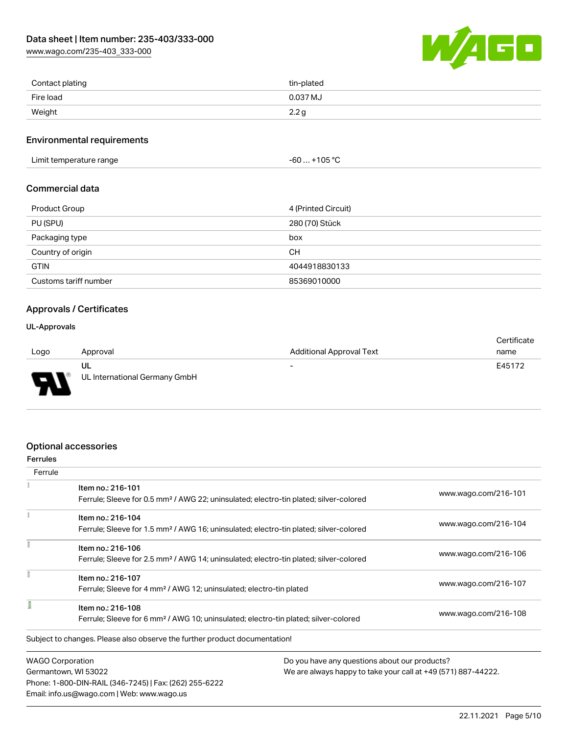[www.wago.com/235-403\\_333-000](http://www.wago.com/235-403_333-000)



| Contact plating | tin-plated       |
|-----------------|------------------|
| Fire load       | 0.037 MJ         |
| Weight          | 2.2 <sub>g</sub> |

#### Environmental requirements

Limit temperature range  $-60... +105$  °C

#### Commercial data

| <b>Product Group</b>  | 4 (Printed Circuit) |
|-----------------------|---------------------|
| PU (SPU)              | 280 (70) Stück      |
| Packaging type        | box                 |
| Country of origin     | CН                  |
| <b>GTIN</b>           | 4044918830133       |
| Customs tariff number | 85369010000         |

#### Approvals / Certificates

#### UL-Approvals

| Logo |                          | Approval                            | <b>Additional Approval Text</b> | Certificate<br>name |
|------|--------------------------|-------------------------------------|---------------------------------|---------------------|
| o    | $\overline{\phantom{a}}$ | UL<br>UL International Germany GmbH | $\overline{\phantom{a}}$        | E45172              |

#### Optional accessories

Email: info.us@wago.com | Web: www.wago.us

| <b>Ferrules</b>         |                                                                                                                        |                                               |                                                               |  |
|-------------------------|------------------------------------------------------------------------------------------------------------------------|-----------------------------------------------|---------------------------------------------------------------|--|
| Ferrule                 |                                                                                                                        |                                               |                                                               |  |
|                         | Item no.: 216-101<br>Ferrule; Sleeve for 0.5 mm <sup>2</sup> / AWG 22; uninsulated; electro-tin plated; silver-colored |                                               | www.wago.com/216-101                                          |  |
|                         | Item no.: 216-104                                                                                                      |                                               | www.wago.com/216-104                                          |  |
|                         | Ferrule; Sleeve for 1.5 mm <sup>2</sup> / AWG 16; uninsulated; electro-tin plated; silver-colored                      |                                               |                                                               |  |
|                         | Item no.: 216-106                                                                                                      |                                               |                                                               |  |
|                         | Ferrule; Sleeve for 2.5 mm <sup>2</sup> / AWG 14; uninsulated; electro-tin plated; silver-colored                      |                                               | www.wago.com/216-106                                          |  |
|                         | Item no.: 216-107                                                                                                      |                                               |                                                               |  |
|                         | Ferrule; Sleeve for 4 mm <sup>2</sup> / AWG 12; uninsulated; electro-tin plated                                        |                                               | www.wago.com/216-107                                          |  |
|                         | Item no.: 216-108                                                                                                      |                                               |                                                               |  |
|                         | Ferrule; Sleeve for 6 mm <sup>2</sup> / AWG 10; uninsulated; electro-tin plated; silver-colored                        |                                               | www.wago.com/216-108                                          |  |
|                         | Subject to changes. Please also observe the further product documentation!                                             |                                               |                                                               |  |
| <b>WAGO Corporation</b> |                                                                                                                        | Do you have any questions about our products? |                                                               |  |
| Germantown, WI 53022    |                                                                                                                        |                                               | We are always happy to take your call at +49 (571) 887-44222. |  |
|                         | Phone: 1-800-DIN-RAIL (346-7245)   Fax: (262) 255-6222                                                                 |                                               |                                                               |  |

22.11.2021 Page 5/10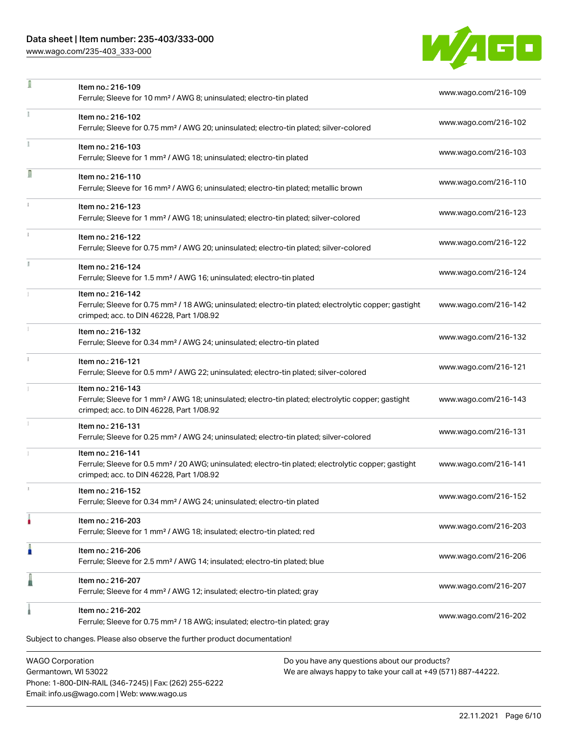Phone: 1-800-DIN-RAIL (346-7245) | Fax: (262) 255-6222

Email: info.us@wago.com | Web: www.wago.us

[www.wago.com/235-403\\_333-000](http://www.wago.com/235-403_333-000)

÷,



| ı                                               | Item no.: 216-109<br>Ferrule; Sleeve for 10 mm <sup>2</sup> / AWG 8; uninsulated; electro-tin plated                                                                               |                                                                                                                | www.wago.com/216-109 |
|-------------------------------------------------|------------------------------------------------------------------------------------------------------------------------------------------------------------------------------------|----------------------------------------------------------------------------------------------------------------|----------------------|
|                                                 | Item no.: 216-102<br>Ferrule; Sleeve for 0.75 mm <sup>2</sup> / AWG 20; uninsulated; electro-tin plated; silver-colored                                                            |                                                                                                                | www.wago.com/216-102 |
|                                                 | Item no.: 216-103<br>Ferrule; Sleeve for 1 mm <sup>2</sup> / AWG 18; uninsulated; electro-tin plated                                                                               |                                                                                                                | www.wago.com/216-103 |
| Ω                                               | Item no.: 216-110<br>Ferrule; Sleeve for 16 mm <sup>2</sup> / AWG 6; uninsulated; electro-tin plated; metallic brown                                                               |                                                                                                                | www.wago.com/216-110 |
|                                                 | Item no.: 216-123<br>Ferrule; Sleeve for 1 mm <sup>2</sup> / AWG 18; uninsulated; electro-tin plated; silver-colored                                                               |                                                                                                                | www.wago.com/216-123 |
|                                                 | Item no.: 216-122<br>Ferrule; Sleeve for 0.75 mm <sup>2</sup> / AWG 20; uninsulated; electro-tin plated; silver-colored                                                            |                                                                                                                | www.wago.com/216-122 |
|                                                 | Item no.: 216-124<br>Ferrule; Sleeve for 1.5 mm <sup>2</sup> / AWG 16; uninsulated; electro-tin plated                                                                             |                                                                                                                | www.wago.com/216-124 |
|                                                 | Item no.: 216-142<br>Ferrule; Sleeve for 0.75 mm <sup>2</sup> / 18 AWG; uninsulated; electro-tin plated; electrolytic copper; gastight<br>crimped; acc. to DIN 46228, Part 1/08.92 |                                                                                                                | www.wago.com/216-142 |
|                                                 | Item no.: 216-132<br>Ferrule; Sleeve for 0.34 mm <sup>2</sup> / AWG 24; uninsulated; electro-tin plated                                                                            |                                                                                                                | www.wago.com/216-132 |
|                                                 | Item no.: 216-121<br>Ferrule; Sleeve for 0.5 mm <sup>2</sup> / AWG 22; uninsulated; electro-tin plated; silver-colored                                                             |                                                                                                                | www.wago.com/216-121 |
|                                                 | Item no.: 216-143<br>Ferrule; Sleeve for 1 mm <sup>2</sup> / AWG 18; uninsulated; electro-tin plated; electrolytic copper; gastight<br>crimped; acc. to DIN 46228, Part 1/08.92    |                                                                                                                | www.wago.com/216-143 |
|                                                 | Item no.: 216-131<br>Ferrule; Sleeve for 0.25 mm <sup>2</sup> / AWG 24; uninsulated; electro-tin plated; silver-colored                                                            |                                                                                                                | www.wago.com/216-131 |
|                                                 | Item no.: 216-141<br>Ferrule; Sleeve for 0.5 mm <sup>2</sup> / 20 AWG; uninsulated; electro-tin plated; electrolytic copper; gastight<br>crimped; acc. to DIN 46228, Part 1/08.92  |                                                                                                                | www.wago.com/216-141 |
|                                                 | Item no.: 216-152<br>Ferrule; Sleeve for 0.34 mm <sup>2</sup> / AWG 24; uninsulated; electro-tin plated                                                                            |                                                                                                                | www.wago.com/216-152 |
|                                                 | Item no.: 216-203<br>Ferrule; Sleeve for 1 mm <sup>2</sup> / AWG 18; insulated; electro-tin plated; red                                                                            |                                                                                                                | www.wago.com/216-203 |
|                                                 | Item no.: 216-206<br>Ferrule; Sleeve for 2.5 mm <sup>2</sup> / AWG 14; insulated; electro-tin plated; blue                                                                         |                                                                                                                | www.wago.com/216-206 |
|                                                 | Item no.: 216-207<br>Ferrule; Sleeve for 4 mm <sup>2</sup> / AWG 12; insulated; electro-tin plated; gray                                                                           |                                                                                                                | www.wago.com/216-207 |
|                                                 | Item no.: 216-202<br>Ferrule; Sleeve for 0.75 mm <sup>2</sup> / 18 AWG; insulated; electro-tin plated; gray                                                                        |                                                                                                                | www.wago.com/216-202 |
|                                                 | Subject to changes. Please also observe the further product documentation!                                                                                                         |                                                                                                                |                      |
| <b>WAGO Corporation</b><br>Germantown, WI 53022 |                                                                                                                                                                                    | Do you have any questions about our products?<br>We are always happy to take your call at +49 (571) 887-44222. |                      |

22.11.2021 Page 6/10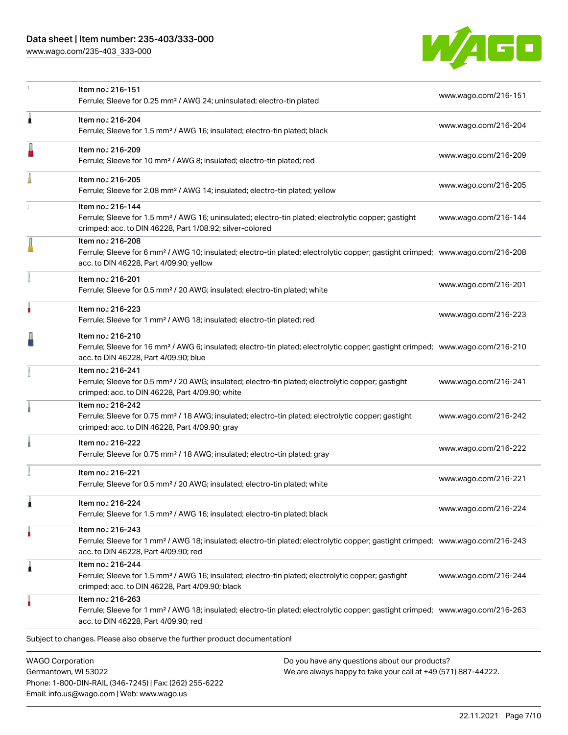[www.wago.com/235-403\\_333-000](http://www.wago.com/235-403_333-000)

Email: info.us@wago.com | Web: www.wago.us



|                                                 | Item no.: 216-151<br>Ferrule; Sleeve for 0.25 mm <sup>2</sup> / AWG 24; uninsulated; electro-tin plated                                                                                                    |                                                                                                                | www.wago.com/216-151 |
|-------------------------------------------------|------------------------------------------------------------------------------------------------------------------------------------------------------------------------------------------------------------|----------------------------------------------------------------------------------------------------------------|----------------------|
| ٨                                               | Item no.: 216-204<br>Ferrule; Sleeve for 1.5 mm <sup>2</sup> / AWG 16; insulated; electro-tin plated; black                                                                                                |                                                                                                                | www.wago.com/216-204 |
|                                                 | Item no.: 216-209<br>Ferrule; Sleeve for 10 mm <sup>2</sup> / AWG 8; insulated; electro-tin plated; red                                                                                                    |                                                                                                                | www.wago.com/216-209 |
|                                                 | Item no.: 216-205<br>Ferrule; Sleeve for 2.08 mm <sup>2</sup> / AWG 14; insulated; electro-tin plated; yellow                                                                                              |                                                                                                                | www.wago.com/216-205 |
|                                                 | Item no.: 216-144<br>Ferrule; Sleeve for 1.5 mm <sup>2</sup> / AWG 16; uninsulated; electro-tin plated; electrolytic copper; gastight<br>crimped; acc. to DIN 46228, Part 1/08.92; silver-colored          |                                                                                                                | www.wago.com/216-144 |
|                                                 | Item no.: 216-208<br>Ferrule; Sleeve for 6 mm <sup>2</sup> / AWG 10; insulated; electro-tin plated; electrolytic copper; gastight crimped; www.wago.com/216-208<br>acc. to DIN 46228, Part 4/09.90; yellow |                                                                                                                |                      |
|                                                 | Item no.: 216-201<br>Ferrule; Sleeve for 0.5 mm <sup>2</sup> / 20 AWG; insulated; electro-tin plated; white                                                                                                |                                                                                                                | www.wago.com/216-201 |
|                                                 | Item no.: 216-223<br>Ferrule; Sleeve for 1 mm <sup>2</sup> / AWG 18; insulated; electro-tin plated; red                                                                                                    |                                                                                                                | www.wago.com/216-223 |
|                                                 | Item no.: 216-210<br>Ferrule; Sleeve for 16 mm <sup>2</sup> / AWG 6; insulated; electro-tin plated; electrolytic copper; gastight crimped; www.wago.com/216-210<br>acc. to DIN 46228, Part 4/09.90; blue   |                                                                                                                |                      |
|                                                 | Item no.: 216-241<br>Ferrule; Sleeve for 0.5 mm <sup>2</sup> / 20 AWG; insulated; electro-tin plated; electrolytic copper; gastight<br>crimped; acc. to DIN 46228, Part 4/09.90; white                     |                                                                                                                | www.wago.com/216-241 |
|                                                 | Item no.: 216-242<br>Ferrule; Sleeve for 0.75 mm <sup>2</sup> / 18 AWG; insulated; electro-tin plated; electrolytic copper; gastight<br>crimped; acc. to DIN 46228, Part 4/09.90; gray                     |                                                                                                                | www.wago.com/216-242 |
|                                                 | Item no.: 216-222<br>Ferrule; Sleeve for 0.75 mm <sup>2</sup> / 18 AWG; insulated; electro-tin plated; gray                                                                                                |                                                                                                                | www.wago.com/216-222 |
|                                                 | Item no.: 216-221<br>Ferrule; Sleeve for 0.5 mm <sup>2</sup> / 20 AWG; insulated; electro-tin plated; white                                                                                                |                                                                                                                | www.wago.com/216-221 |
|                                                 | Item no.: 216-224<br>Ferrule; Sleeve for 1.5 mm <sup>2</sup> / AWG 16; insulated; electro-tin plated; black                                                                                                |                                                                                                                | www.wago.com/216-224 |
|                                                 | Item no.: 216-243<br>Ferrule; Sleeve for 1 mm <sup>2</sup> / AWG 18; insulated; electro-tin plated; electrolytic copper; gastight crimped; www.wago.com/216-243<br>acc. to DIN 46228, Part 4/09.90; red    |                                                                                                                |                      |
| 1                                               | Item no.: 216-244<br>Ferrule; Sleeve for 1.5 mm <sup>2</sup> / AWG 16; insulated; electro-tin plated; electrolytic copper; gastight<br>crimped; acc. to DIN 46228, Part 4/09.90; black                     |                                                                                                                | www.wago.com/216-244 |
|                                                 | Item no.: 216-263<br>Ferrule; Sleeve for 1 mm <sup>2</sup> / AWG 18; insulated; electro-tin plated; electrolytic copper; gastight crimped; www.wago.com/216-263<br>acc. to DIN 46228, Part 4/09.90; red    |                                                                                                                |                      |
|                                                 | Subject to changes. Please also observe the further product documentation!                                                                                                                                 |                                                                                                                |                      |
| <b>WAGO Corporation</b><br>Germantown, WI 53022 | Phone: 1-800-DIN-RAIL (346-7245)   Fax: (262) 255-6222                                                                                                                                                     | Do you have any questions about our products?<br>We are always happy to take your call at +49 (571) 887-44222. |                      |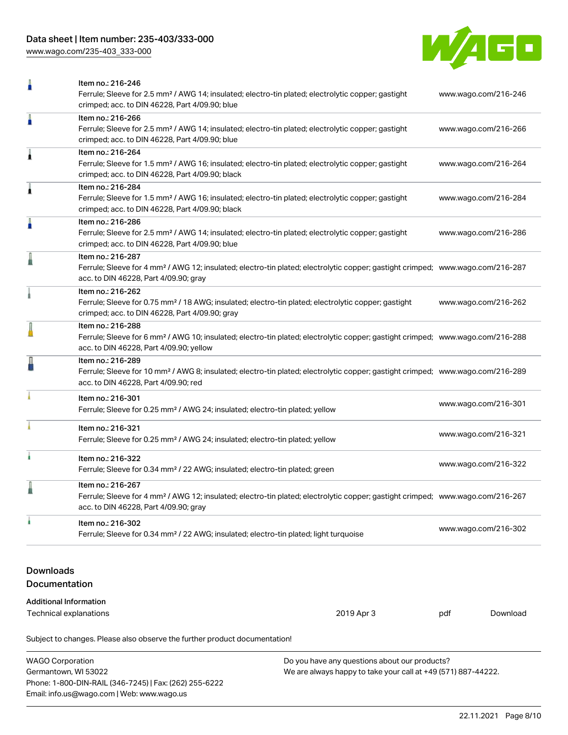[www.wago.com/235-403\\_333-000](http://www.wago.com/235-403_333-000)



|                                             | Item no.: 216-246<br>Ferrule; Sleeve for 2.5 mm <sup>2</sup> / AWG 14; insulated; electro-tin plated; electrolytic copper; gastight<br>www.wago.com/216-246<br>crimped; acc. to DIN 46228, Part 4/09.90; blue |  |                      |          |
|---------------------------------------------|---------------------------------------------------------------------------------------------------------------------------------------------------------------------------------------------------------------|--|----------------------|----------|
| ñ                                           | Item no.: 216-266<br>Ferrule; Sleeve for 2.5 mm <sup>2</sup> / AWG 14; insulated; electro-tin plated; electrolytic copper; gastight<br>crimped; acc. to DIN 46228, Part 4/09.90; blue                         |  | www.wago.com/216-266 |          |
| 1                                           | Item no.: 216-264<br>Ferrule; Sleeve for 1.5 mm <sup>2</sup> / AWG 16; insulated; electro-tin plated; electrolytic copper; gastight<br>crimped; acc. to DIN 46228, Part 4/09.90; black                        |  | www.wago.com/216-264 |          |
| 1                                           | Item no.: 216-284<br>Ferrule; Sleeve for 1.5 mm <sup>2</sup> / AWG 16; insulated; electro-tin plated; electrolytic copper; gastight<br>crimped; acc. to DIN 46228, Part 4/09.90; black                        |  | www.wago.com/216-284 |          |
| n                                           | Item no.: 216-286<br>Ferrule; Sleeve for 2.5 mm <sup>2</sup> / AWG 14; insulated; electro-tin plated; electrolytic copper; gastight<br>crimped; acc. to DIN 46228, Part 4/09.90; blue                         |  | www.wago.com/216-286 |          |
| I                                           | Item no.: 216-287<br>Ferrule; Sleeve for 4 mm <sup>2</sup> / AWG 12; insulated; electro-tin plated; electrolytic copper; gastight crimped; www.wago.com/216-287<br>acc. to DIN 46228, Part 4/09.90; gray      |  |                      |          |
|                                             | Item no.: 216-262<br>Ferrule; Sleeve for 0.75 mm <sup>2</sup> / 18 AWG; insulated; electro-tin plated; electrolytic copper; gastight<br>crimped; acc. to DIN 46228, Part 4/09.90; gray                        |  | www.wago.com/216-262 |          |
|                                             | Item no.: 216-288<br>Ferrule; Sleeve for 6 mm <sup>2</sup> / AWG 10; insulated; electro-tin plated; electrolytic copper; gastight crimped; www.wago.com/216-288<br>acc. to DIN 46228, Part 4/09.90; yellow    |  |                      |          |
|                                             | Item no.: 216-289<br>Ferrule; Sleeve for 10 mm <sup>2</sup> / AWG 8; insulated; electro-tin plated; electrolytic copper; gastight crimped; www.wago.com/216-289<br>acc. to DIN 46228, Part 4/09.90; red       |  |                      |          |
|                                             | Item no.: 216-301<br>Ferrule; Sleeve for 0.25 mm <sup>2</sup> / AWG 24; insulated; electro-tin plated; yellow                                                                                                 |  | www.wago.com/216-301 |          |
|                                             | Item no.: 216-321<br>Ferrule; Sleeve for 0.25 mm <sup>2</sup> / AWG 24; insulated; electro-tin plated; yellow                                                                                                 |  | www.wago.com/216-321 |          |
|                                             | Item no.: 216-322<br>Ferrule; Sleeve for 0.34 mm <sup>2</sup> / 22 AWG; insulated; electro-tin plated; green                                                                                                  |  | www.wago.com/216-322 |          |
|                                             | Item no.: 216-267<br>Ferrule; Sleeve for 4 mm <sup>2</sup> / AWG 12; insulated; electro-tin plated; electrolytic copper; gastight crimped; www.wago.com/216-267<br>acc. to DIN 46228, Part 4/09.90; gray      |  |                      |          |
|                                             | Item no.: 216-302<br>Ferrule; Sleeve for 0.34 mm <sup>2</sup> / 22 AWG; insulated; electro-tin plated; light turquoise                                                                                        |  | www.wago.com/216-302 |          |
| <b>Downloads</b><br>Documentation           |                                                                                                                                                                                                               |  |                      |          |
| <b>Additional Information</b>               |                                                                                                                                                                                                               |  |                      |          |
| <b>Technical explanations</b><br>2019 Apr 3 |                                                                                                                                                                                                               |  | pdf                  | Download |
|                                             | Subject to changes. Please also observe the further product documentation!                                                                                                                                    |  |                      |          |

| WAGO Corporation                                       | Do you have any questions about our products?                 |
|--------------------------------------------------------|---------------------------------------------------------------|
| Germantown, WI 53022                                   | We are always happy to take your call at +49 (571) 887-44222. |
| Phone: 1-800-DIN-RAIL (346-7245)   Fax: (262) 255-6222 |                                                               |
| Email: info.us@wago.com   Web: www.wago.us             |                                                               |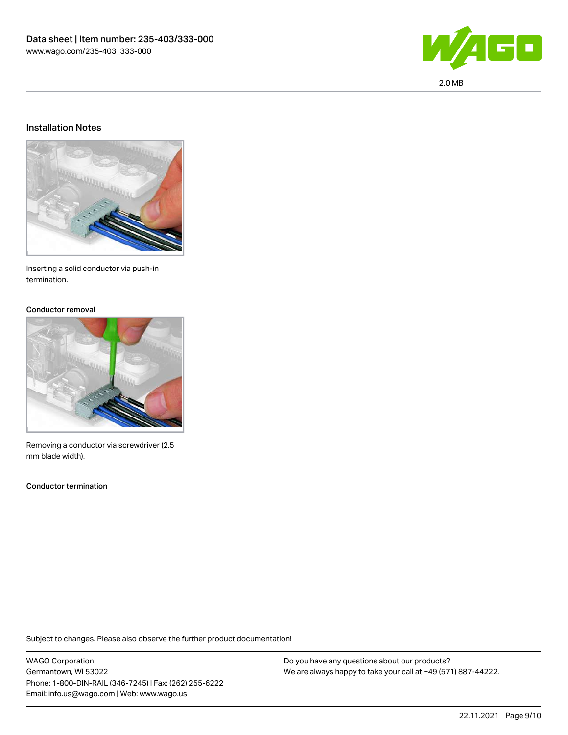

#### Installation Notes



Inserting a solid conductor via push-in termination.

#### Conductor removal



Removing a conductor via screwdriver (2.5 mm blade width).

Conductor termination

Subject to changes. Please also observe the further product documentation!

WAGO Corporation Germantown, WI 53022 Phone: 1-800-DIN-RAIL (346-7245) | Fax: (262) 255-6222 Email: info.us@wago.com | Web: www.wago.us